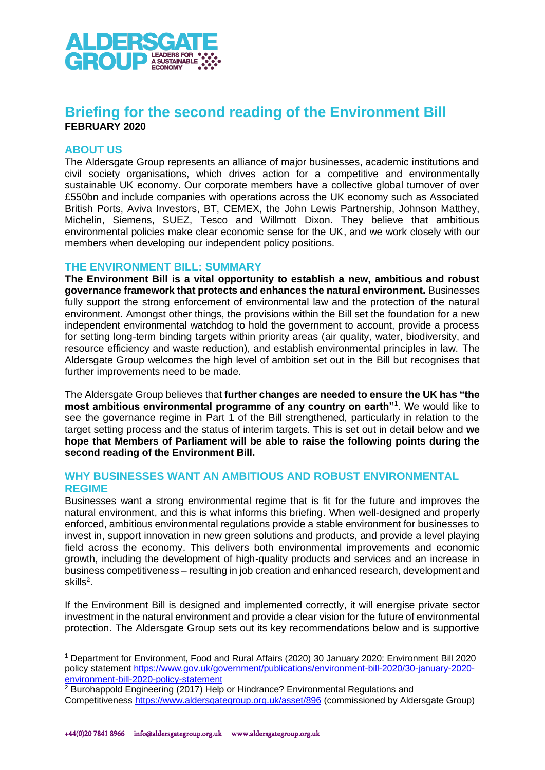

# **Briefing for the second reading of the Environment Bill FEBRUARY 2020**

## **ABOUT US**

The Aldersgate Group represents an alliance of major businesses, academic institutions and civil society organisations, which drives action for a competitive and environmentally sustainable UK economy. Our corporate members have a collective global turnover of over £550bn and include companies with operations across the UK economy such as Associated British Ports, Aviva Investors, BT, CEMEX, the John Lewis Partnership, Johnson Matthey, Michelin, Siemens, SUEZ, Tesco and Willmott Dixon. They believe that ambitious environmental policies make clear economic sense for the UK, and we work closely with our members when developing our independent policy positions.

### **THE ENVIRONMENT BILL: SUMMARY**

**The Environment Bill is a vital opportunity to establish a new, ambitious and robust governance framework that protects and enhances the natural environment.** Businesses fully support the strong enforcement of environmental law and the protection of the natural environment. Amongst other things, the provisions within the Bill set the foundation for a new independent environmental watchdog to hold the government to account, provide a process for setting long-term binding targets within priority areas (air quality, water, biodiversity, and resource efficiency and waste reduction), and establish environmental principles in law. The Aldersgate Group welcomes the high level of ambition set out in the Bill but recognises that further improvements need to be made.

The Aldersgate Group believes that **further changes are needed to ensure the UK has "the most ambitious environmental programme of any country on earth"**<sup>1</sup> . We would like to see the governance regime in Part 1 of the Bill strengthened, particularly in relation to the target setting process and the status of interim targets. This is set out in detail below and **we hope that Members of Parliament will be able to raise the following points during the second reading of the Environment Bill.**

# **WHY BUSINESSES WANT AN AMBITIOUS AND ROBUST ENVIRONMENTAL REGIME**

Businesses want a strong environmental regime that is fit for the future and improves the natural environment, and this is what informs this briefing. When well-designed and properly enforced, ambitious environmental regulations provide a stable environment for businesses to invest in, support innovation in new green solutions and products, and provide a level playing field across the economy. This delivers both environmental improvements and economic growth, including the development of high-quality products and services and an increase in business competitiveness – resulting in job creation and enhanced research, development and skills<sup>2</sup>.

If the Environment Bill is designed and implemented correctly, it will energise private sector investment in the natural environment and provide a clear vision for the future of environmental protection. The Aldersgate Group sets out its key recommendations below and is supportive

<sup>1</sup> Department for Environment, Food and Rural Affairs (2020) 30 January 2020: Environment Bill 2020 policy statement [https://www.gov.uk/government/publications/environment-bill-2020/30-january-2020](https://www.gov.uk/government/publications/environment-bill-2020/30-january-2020-environment-bill-2020-policy-statement) [environment-bill-2020-policy-statement](https://www.gov.uk/government/publications/environment-bill-2020/30-january-2020-environment-bill-2020-policy-statement)

<sup>&</sup>lt;sup>2</sup> Burohappold Engineering (2017) Help or Hindrance? Environmental Regulations and Competitiveness <https://www.aldersgategroup.org.uk/asset/896> (commissioned by Aldersgate Group)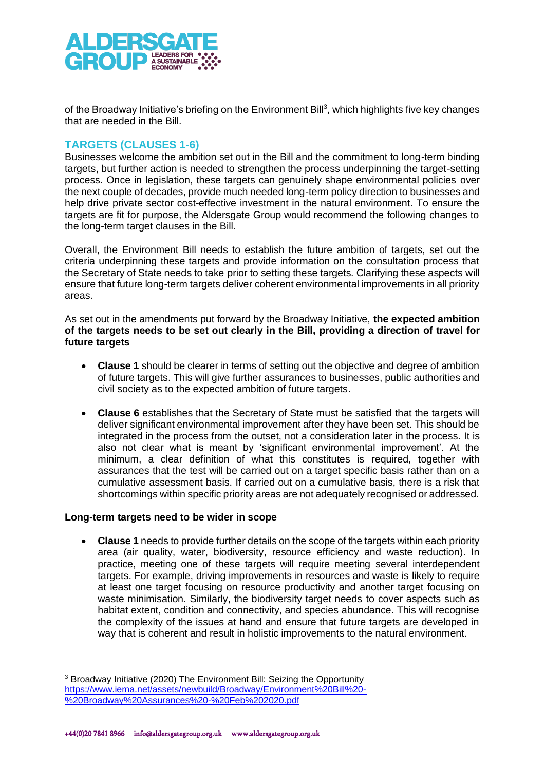

of the Broadway Initiative's briefing on the Environment Bill<sup>3</sup>, which highlights five key changes that are needed in the Bill.

# **TARGETS (CLAUSES 1-6)**

Businesses welcome the ambition set out in the Bill and the commitment to long-term binding targets, but further action is needed to strengthen the process underpinning the target-setting process. Once in legislation, these targets can genuinely shape environmental policies over the next couple of decades, provide much needed long-term policy direction to businesses and help drive private sector cost-effective investment in the natural environment. To ensure the targets are fit for purpose, the Aldersgate Group would recommend the following changes to the long-term target clauses in the Bill.

Overall, the Environment Bill needs to establish the future ambition of targets, set out the criteria underpinning these targets and provide information on the consultation process that the Secretary of State needs to take prior to setting these targets. Clarifying these aspects will ensure that future long-term targets deliver coherent environmental improvements in all priority areas.

As set out in the amendments put forward by the Broadway Initiative, **the expected ambition of the targets needs to be set out clearly in the Bill, providing a direction of travel for future targets**

- **Clause 1** should be clearer in terms of setting out the objective and degree of ambition of future targets. This will give further assurances to businesses, public authorities and civil society as to the expected ambition of future targets.
- **Clause 6** establishes that the Secretary of State must be satisfied that the targets will deliver significant environmental improvement after they have been set. This should be integrated in the process from the outset, not a consideration later in the process. It is also not clear what is meant by 'significant environmental improvement'. At the minimum, a clear definition of what this constitutes is required, together with assurances that the test will be carried out on a target specific basis rather than on a cumulative assessment basis. If carried out on a cumulative basis, there is a risk that shortcomings within specific priority areas are not adequately recognised or addressed.

#### **Long-term targets need to be wider in scope**

• **Clause 1** needs to provide further details on the scope of the targets within each priority area (air quality, water, biodiversity, resource efficiency and waste reduction). In practice, meeting one of these targets will require meeting several interdependent targets. For example, driving improvements in resources and waste is likely to require at least one target focusing on resource productivity and another target focusing on waste minimisation. Similarly, the biodiversity target needs to cover aspects such as habitat extent, condition and connectivity, and species abundance. This will recognise the complexity of the issues at hand and ensure that future targets are developed in way that is coherent and result in holistic improvements to the natural environment.

<sup>&</sup>lt;sup>3</sup> Broadway Initiative (2020) The Environment Bill: Seizing the Opportunity [https://www.iema.net/assets/newbuild/Broadway/Environment%20Bill%20-](https://www.iema.net/assets/newbuild/Broadway/Environment%20Bill%20-%20Broadway%20Assurances%20-%20Feb%202020.pdf) [%20Broadway%20Assurances%20-%20Feb%202020.pdf](https://www.iema.net/assets/newbuild/Broadway/Environment%20Bill%20-%20Broadway%20Assurances%20-%20Feb%202020.pdf)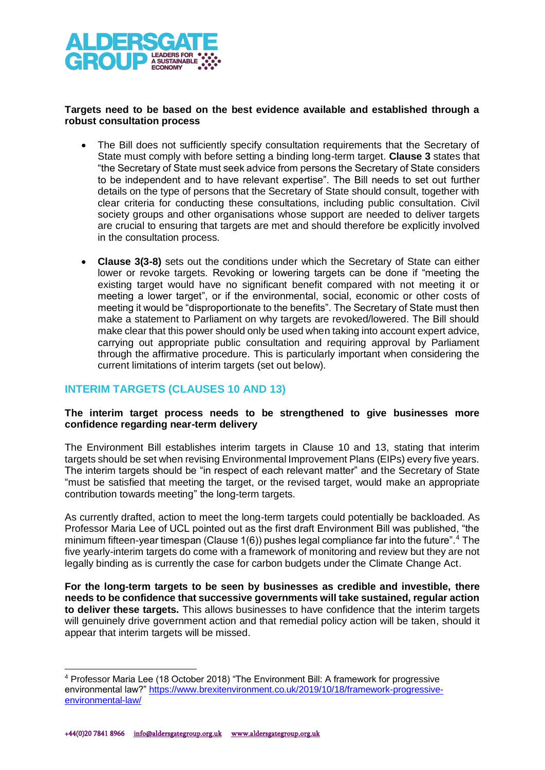

#### **Targets need to be based on the best evidence available and established through a robust consultation process**

- The Bill does not sufficiently specify consultation requirements that the Secretary of State must comply with before setting a binding long-term target. **Clause 3** states that "the Secretary of State must seek advice from persons the Secretary of State considers to be independent and to have relevant expertise". The Bill needs to set out further details on the type of persons that the Secretary of State should consult, together with clear criteria for conducting these consultations, including public consultation. Civil society groups and other organisations whose support are needed to deliver targets are crucial to ensuring that targets are met and should therefore be explicitly involved in the consultation process.
- **Clause 3(3-8)** sets out the conditions under which the Secretary of State can either lower or revoke targets. Revoking or lowering targets can be done if "meeting the existing target would have no significant benefit compared with not meeting it or meeting a lower target", or if the environmental, social, economic or other costs of meeting it would be "disproportionate to the benefits". The Secretary of State must then make a statement to Parliament on why targets are revoked/lowered. The Bill should make clear that this power should only be used when taking into account expert advice, carrying out appropriate public consultation and requiring approval by Parliament through the affirmative procedure. This is particularly important when considering the current limitations of interim targets (set out below).

# **INTERIM TARGETS (CLAUSES 10 AND 13)**

#### **The interim target process needs to be strengthened to give businesses more confidence regarding near-term delivery**

The Environment Bill establishes interim targets in Clause 10 and 13, stating that interim targets should be set when revising Environmental Improvement Plans (EIPs) every five years. The interim targets should be "in respect of each relevant matter" and the Secretary of State "must be satisfied that meeting the target, or the revised target, would make an appropriate contribution towards meeting" the long-term targets.

As currently drafted, action to meet the long-term targets could potentially be backloaded. As Professor Maria Lee of UCL pointed out as the first draft Environment Bill was published, "the minimum fifteen-year timespan (Clause  $1(6)$ ) pushes legal compliance far into the future".<sup>4</sup> The five yearly-interim targets do come with a framework of monitoring and review but they are not legally binding as is currently the case for carbon budgets under the Climate Change Act.

**For the long-term targets to be seen by businesses as credible and investible, there needs to be confidence that successive governments will take sustained, regular action to deliver these targets.** This allows businesses to have confidence that the interim targets will genuinely drive government action and that remedial policy action will be taken, should it appear that interim targets will be missed.

<sup>4</sup> Professor Maria Lee (18 October 2018) "The Environment Bill: A framework for progressive environmental law?" [https://www.brexitenvironment.co.uk/2019/10/18/framework-progressive](https://www.brexitenvironment.co.uk/2019/10/18/framework-progressive-environmental-law/)[environmental-law/](https://www.brexitenvironment.co.uk/2019/10/18/framework-progressive-environmental-law/)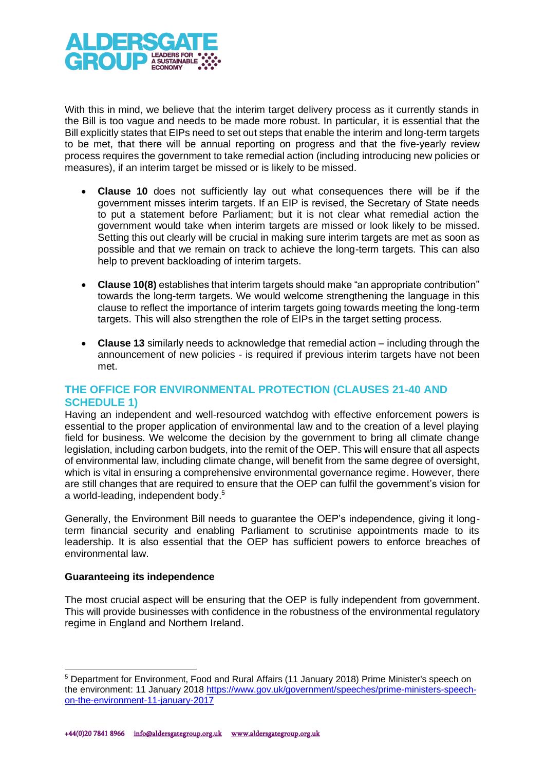

With this in mind, we believe that the interim target delivery process as it currently stands in the Bill is too vague and needs to be made more robust. In particular, it is essential that the Bill explicitly states that EIPs need to set out steps that enable the interim and long-term targets to be met, that there will be annual reporting on progress and that the five-yearly review process requires the government to take remedial action (including introducing new policies or measures), if an interim target be missed or is likely to be missed.

- **Clause 10** does not sufficiently lay out what consequences there will be if the government misses interim targets. If an EIP is revised, the Secretary of State needs to put a statement before Parliament; but it is not clear what remedial action the government would take when interim targets are missed or look likely to be missed. Setting this out clearly will be crucial in making sure interim targets are met as soon as possible and that we remain on track to achieve the long-term targets. This can also help to prevent backloading of interim targets.
- **Clause 10(8)** establishes that interim targets should make "an appropriate contribution" towards the long-term targets. We would welcome strengthening the language in this clause to reflect the importance of interim targets going towards meeting the long-term targets. This will also strengthen the role of EIPs in the target setting process.
- **Clause 13** similarly needs to acknowledge that remedial action including through the announcement of new policies - is required if previous interim targets have not been met.

# **THE OFFICE FOR ENVIRONMENTAL PROTECTION (CLAUSES 21-40 AND SCHEDULE 1)**

Having an independent and well-resourced watchdog with effective enforcement powers is essential to the proper application of environmental law and to the creation of a level playing field for business. We welcome the decision by the government to bring all climate change legislation, including carbon budgets, into the remit of the OEP. This will ensure that all aspects of environmental law, including climate change, will benefit from the same degree of oversight, which is vital in ensuring a comprehensive environmental governance regime. However, there are still changes that are required to ensure that the OEP can fulfil the government's vision for a world-leading, independent body. 5

Generally, the Environment Bill needs to guarantee the OEP's independence, giving it longterm financial security and enabling Parliament to scrutinise appointments made to its leadership. It is also essential that the OEP has sufficient powers to enforce breaches of environmental law.

### **Guaranteeing its independence**

The most crucial aspect will be ensuring that the OEP is fully independent from government. This will provide businesses with confidence in the robustness of the environmental regulatory regime in England and Northern Ireland.

<sup>5</sup> Department for Environment, Food and Rural Affairs (11 January 2018) Prime Minister's speech on the environment: 11 January 2018 [https://www.gov.uk/government/speeches/prime-ministers-speech](https://www.gov.uk/government/speeches/prime-ministers-speech-on-the-environment-11-january-2017)[on-the-environment-11-january-2017](https://www.gov.uk/government/speeches/prime-ministers-speech-on-the-environment-11-january-2017)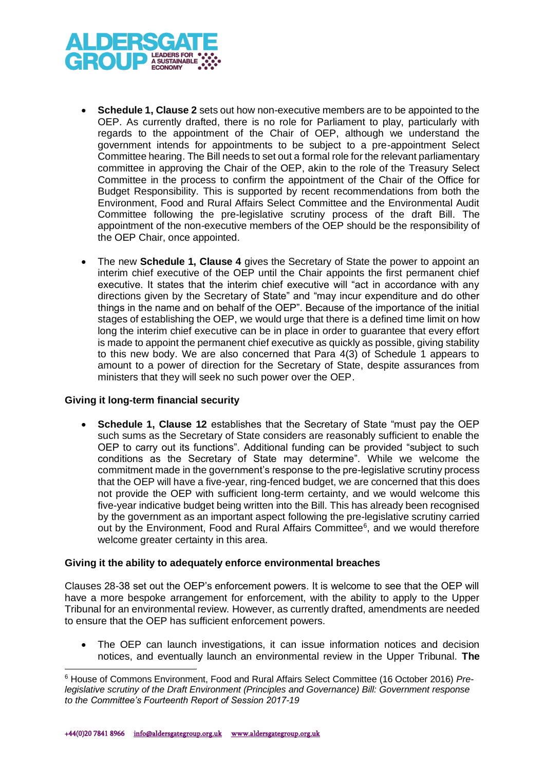

- **Schedule 1, Clause 2** sets out how non-executive members are to be appointed to the OEP. As currently drafted, there is no role for Parliament to play, particularly with regards to the appointment of the Chair of OEP, although we understand the government intends for appointments to be subject to a pre-appointment Select Committee hearing. The Bill needs to set out a formal role for the relevant parliamentary committee in approving the Chair of the OEP, akin to the role of the Treasury Select Committee in the process to confirm the appointment of the Chair of the Office for Budget Responsibility. This is supported by recent recommendations from both the Environment, Food and Rural Affairs Select Committee and the Environmental Audit Committee following the pre-legislative scrutiny process of the draft Bill. The appointment of the non-executive members of the OEP should be the responsibility of the OEP Chair, once appointed.
- The new **Schedule 1, Clause 4** gives the Secretary of State the power to appoint an interim chief executive of the OEP until the Chair appoints the first permanent chief executive. It states that the interim chief executive will "act in accordance with any directions given by the Secretary of State" and "may incur expenditure and do other things in the name and on behalf of the OEP". Because of the importance of the initial stages of establishing the OEP, we would urge that there is a defined time limit on how long the interim chief executive can be in place in order to guarantee that every effort is made to appoint the permanent chief executive as quickly as possible, giving stability to this new body. We are also concerned that Para 4(3) of Schedule 1 appears to amount to a power of direction for the Secretary of State, despite assurances from ministers that they will seek no such power over the OEP.

### **Giving it long-term financial security**

• **Schedule 1, Clause 12** establishes that the Secretary of State "must pay the OEP such sums as the Secretary of State considers are reasonably sufficient to enable the OEP to carry out its functions". Additional funding can be provided "subject to such conditions as the Secretary of State may determine". While we welcome the commitment made in the government's response to the pre-legislative scrutiny process that the OEP will have a five-year, ring-fenced budget, we are concerned that this does not provide the OEP with sufficient long-term certainty, and we would welcome this five-year indicative budget being written into the Bill. This has already been recognised by the government as an important aspect following the pre-legislative scrutiny carried out by the Environment, Food and Rural Affairs Committee<sup>6</sup>, and we would therefore welcome greater certainty in this area.

#### **Giving it the ability to adequately enforce environmental breaches**

Clauses 28-38 set out the OEP's enforcement powers. It is welcome to see that the OEP will have a more bespoke arrangement for enforcement, with the ability to apply to the Upper Tribunal for an environmental review. However, as currently drafted, amendments are needed to ensure that the OEP has sufficient enforcement powers.

• The OEP can launch investigations, it can issue information notices and decision notices, and eventually launch an environmental review in the Upper Tribunal. **The**

<sup>6</sup> House of Commons Environment, Food and Rural Affairs Select Committee (16 October 2016) *Prelegislative scrutiny of the Draft Environment (Principles and Governance) Bill: Government response to the Committee's Fourteenth Report of Session 2017-19*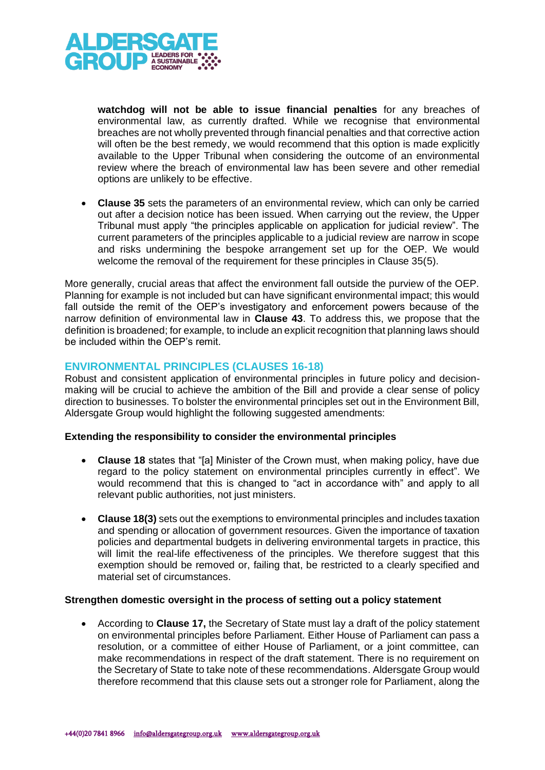

**watchdog will not be able to issue financial penalties** for any breaches of environmental law, as currently drafted. While we recognise that environmental breaches are not wholly prevented through financial penalties and that corrective action will often be the best remedy, we would recommend that this option is made explicitly available to the Upper Tribunal when considering the outcome of an environmental review where the breach of environmental law has been severe and other remedial options are unlikely to be effective.

• **Clause 35** sets the parameters of an environmental review, which can only be carried out after a decision notice has been issued. When carrying out the review, the Upper Tribunal must apply "the principles applicable on application for judicial review". The current parameters of the principles applicable to a judicial review are narrow in scope and risks undermining the bespoke arrangement set up for the OEP. We would welcome the removal of the requirement for these principles in Clause 35(5).

More generally, crucial areas that affect the environment fall outside the purview of the OEP. Planning for example is not included but can have significant environmental impact; this would fall outside the remit of the OEP's investigatory and enforcement powers because of the narrow definition of environmental law in **Clause 43**. To address this, we propose that the definition is broadened; for example, to include an explicit recognition that planning laws should be included within the OEP's remit.

### **ENVIRONMENTAL PRINCIPLES (CLAUSES 16-18)**

Robust and consistent application of environmental principles in future policy and decisionmaking will be crucial to achieve the ambition of the Bill and provide a clear sense of policy direction to businesses. To bolster the environmental principles set out in the Environment Bill, Aldersgate Group would highlight the following suggested amendments:

### **Extending the responsibility to consider the environmental principles**

- **Clause 18** states that "[a] Minister of the Crown must, when making policy, have due regard to the policy statement on environmental principles currently in effect". We would recommend that this is changed to "act in accordance with" and apply to all relevant public authorities, not just ministers.
- **Clause 18(3)** sets out the exemptions to environmental principles and includes taxation and spending or allocation of government resources. Given the importance of taxation policies and departmental budgets in delivering environmental targets in practice, this will limit the real-life effectiveness of the principles. We therefore suggest that this exemption should be removed or, failing that, be restricted to a clearly specified and material set of circumstances.

#### **Strengthen domestic oversight in the process of setting out a policy statement**

• According to **Clause 17,** the Secretary of State must lay a draft of the policy statement on environmental principles before Parliament. Either House of Parliament can pass a resolution, or a committee of either House of Parliament, or a joint committee, can make recommendations in respect of the draft statement. There is no requirement on the Secretary of State to take note of these recommendations. Aldersgate Group would therefore recommend that this clause sets out a stronger role for Parliament, along the